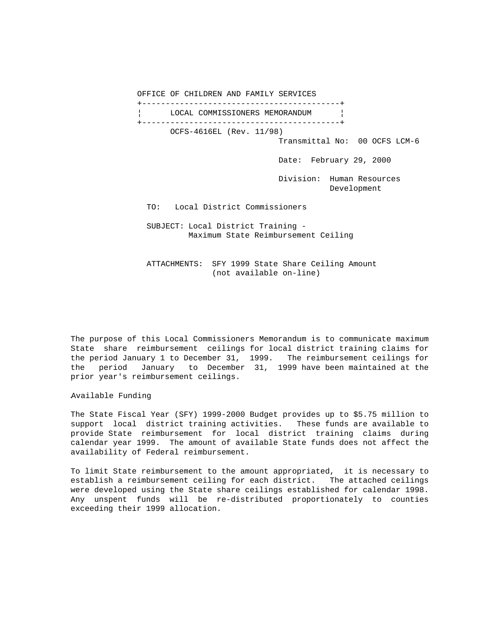OFFICE OF CHILDREN AND FAMILY SERVICES +------------------------------------------+ LOCAL COMMISSIONERS MEMORANDUM | +------------------------------------------+ OCFS-4616EL (Rev. 11/98) Transmittal No: 00 OCFS LCM-6 Date: February 29, 2000 Division: Human Resources Development TO: Local District Commissioners SUBJECT: Local District Training - Maximum State Reimbursement Ceiling

 ATTACHMENTS: SFY 1999 State Share Ceiling Amount (not available on-line)

The purpose of this Local Commissioners Memorandum is to communicate maximum State share reimbursement ceilings for local district training claims for the period January 1 to December 31, 1999. The reimbursement ceilings for the period January to December 31, 1999 have been maintained at the prior year's reimbursement ceilings.

Available Funding

The State Fiscal Year (SFY) 1999-2000 Budget provides up to \$5.75 million to support local district training activities. These funds are available to provide State reimbursement for local district training claims during calendar year 1999. The amount of available State funds does not affect the availability of Federal reimbursement.

To limit State reimbursement to the amount appropriated, it is necessary to establish a reimbursement ceiling for each district. The attached ceilings were developed using the State share ceilings established for calendar 1998. Any unspent funds will be re-distributed proportionately to counties exceeding their 1999 allocation.